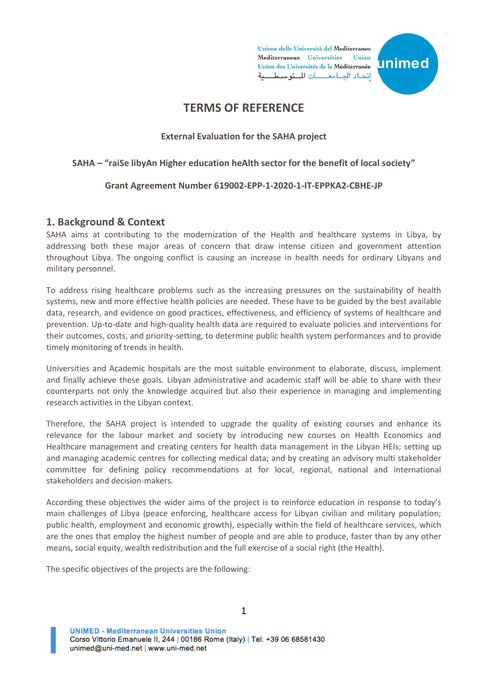

# **TERMS OF REFERENCE**

#### **External Evaluation for the SAHA project**

#### **SAHA – "raiSe libyAn Higher education heAlth sector for the benefit of local society"**

#### **Grant Agreement Number 619002-EPP-1-2020-1-IT-EPPKA2-CBHE-JP**

#### **1. Background & Context**

SAHA aims at contributing to the modernization of the Health and healthcare systems in Libya, by addressing both these major areas of concern that draw intense citizen and government attention throughout Libya. The ongoing conflict is causing an increase in health needs for ordinary Libyans and military personnel.

To address rising healthcare problems such as the increasing pressures on the sustainability of health systems, new and more effective health policies are needed. These have to be guided by the best available data, research, and evidence on good practices, effectiveness, and efficiency of systems of healthcare and prevention. Up-to-date and high-quality health data are required to evaluate policies and interventions for their outcomes, costs, and priority-setting, to determine public health system performances and to provide timely monitoring of trends in health.

Universities and Academic hospitals are the most suitable environment to elaborate, discuss, implement and finally achieve these goals. Libyan administrative and academic staff will be able to share with their counterparts not only the knowledge acquired but also their experience in managing and implementing research activities in the Libyan context.

Therefore, the SAHA project is intended to upgrade the quality of existing courses and enhance its relevance for the labour market and society by introducing new courses on Health Economics and Healthcare management and creating centers for health data management in the Libyan HEIs; setting up and managing academic centres for collecting medical data; and by creating an advisory multi stakeholder committee for defining policy recommendations at for local, regional, national and international stakeholders and decision-makers.

According these objectives the wider aims of the project is to reinforce education in response to today's main challenges of Libya (peace enforcing, healthcare access for Libyan civilian and military population; public health, employment and economic growth), especially within the field of healthcare services, which are the ones that employ the highest number of people and are able to produce, faster than by any other means, social equity, wealth redistribution and the full exercise of a social right (the Health).

The specific objectives of the projects are the following: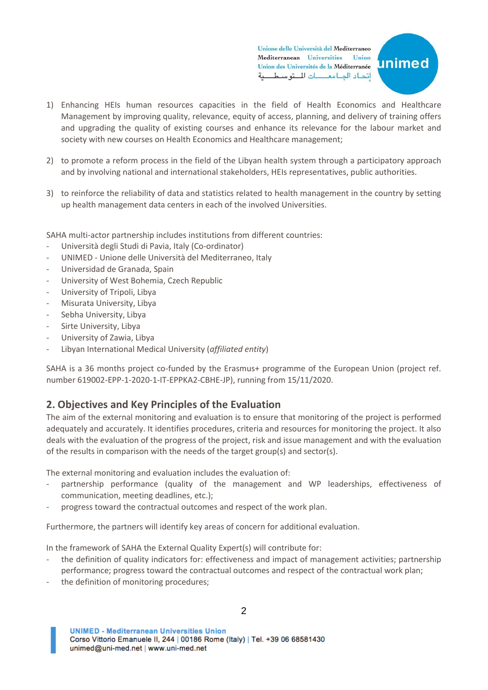

- 1) Enhancing HEIs human resources capacities in the field of Health Economics and Healthcare Management by improving quality, relevance, equity of access, planning, and delivery of training offers and upgrading the quality of existing courses and enhance its relevance for the labour market and society with new courses on Health Economics and Healthcare management;
- 2) to promote a reform process in the field of the Libyan health system through a participatory approach and by involving national and international stakeholders, HEIs representatives, public authorities.
- 3) to reinforce the reliability of data and statistics related to health management in the country by setting up health management data centers in each of the involved Universities.

SAHA multi-actor partnership includes institutions from different countries:

- Università degli Studi di Pavia, Italy (Co-ordinator)
- UNIMED Unione delle Università del Mediterraneo, Italy
- Universidad de Granada, Spain
- University of West Bohemia, Czech Republic
- University of Tripoli, Libya
- Misurata University, Libya
- Sebha University, Libya
- Sirte University, Libya
- University of Zawia, Libya
- Libyan International Medical University (*affiliated entity*)

SAHA is a 36 months project co-funded by the Erasmus+ programme of the European Union (project ref. number 619002-EPP-1-2020-1-IT-EPPKA2-CBHE-JP), running from 15/11/2020.

### **2. Objectives and Key Principles of the Evaluation**

The aim of the external monitoring and evaluation is to ensure that monitoring of the project is performed adequately and accurately. It identifies procedures, criteria and resources for monitoring the project. It also deals with the evaluation of the progress of the project, risk and issue management and with the evaluation of the results in comparison with the needs of the target group(s) and sector(s).

The external monitoring and evaluation includes the evaluation of:

- partnership performance (quality of the management and WP leaderships, effectiveness of communication, meeting deadlines, etc.);
- progress toward the contractual outcomes and respect of the work plan.

Furthermore, the partners will identify key areas of concern for additional evaluation.

In the framework of SAHA the External Quality Expert(s) will contribute for:

- the definition of quality indicators for: effectiveness and impact of management activities; partnership performance; progress toward the contractual outcomes and respect of the contractual work plan;
- the definition of monitoring procedures;

**UNIMED - Mediterranean Universities Union** Corso Vittorio Emanuele II, 244 | 00186 Rome (Italy) | Tel. +39 06 68581430 unimed@uni-med.net | www.uni-med.net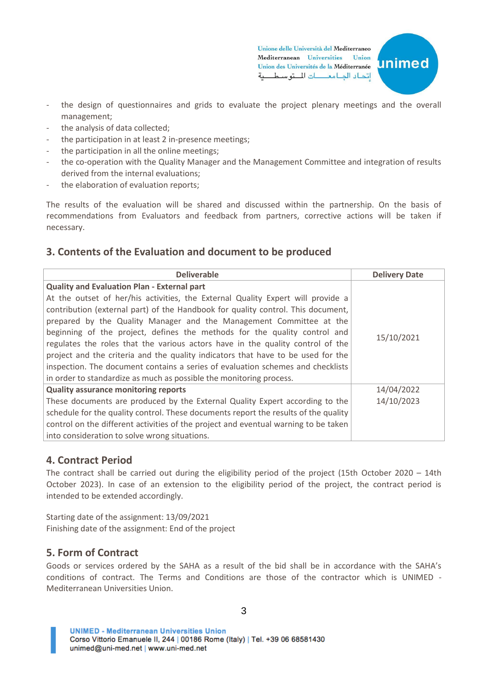

- the design of questionnaires and grids to evaluate the project plenary meetings and the overall management;
- the analysis of data collected;
- the participation in at least 2 in-presence meetings;
- the participation in all the online meetings;
- the co-operation with the Quality Manager and the Management Committee and integration of results derived from the internal evaluations;
- the elaboration of evaluation reports;

The results of the evaluation will be shared and discussed within the partnership. On the basis of recommendations from Evaluators and feedback from partners, corrective actions will be taken if necessary.

### **3. Contents of the Evaluation and document to be produced**

| <b>Deliverable</b>                                                                  | <b>Delivery Date</b> |
|-------------------------------------------------------------------------------------|----------------------|
| <b>Quality and Evaluation Plan - External part</b>                                  |                      |
| At the outset of her/his activities, the External Quality Expert will provide a     |                      |
| contribution (external part) of the Handbook for quality control. This document,    |                      |
| prepared by the Quality Manager and the Management Committee at the                 |                      |
| beginning of the project, defines the methods for the quality control and           | 15/10/2021           |
| regulates the roles that the various actors have in the quality control of the      |                      |
| project and the criteria and the quality indicators that have to be used for the    |                      |
| inspection. The document contains a series of evaluation schemes and checklists     |                      |
| in order to standardize as much as possible the monitoring process.                 |                      |
| <b>Quality assurance monitoring reports</b>                                         | 14/04/2022           |
| These documents are produced by the External Quality Expert according to the        | 14/10/2023           |
| schedule for the quality control. These documents report the results of the quality |                      |
| control on the different activities of the project and eventual warning to be taken |                      |
| into consideration to solve wrong situations.                                       |                      |

### **4. Contract Period**

The contract shall be carried out during the eligibility period of the project (15th October 2020 – 14th October 2023). In case of an extension to the eligibility period of the project, the contract period is intended to be extended accordingly.

Starting date of the assignment: 13/09/2021 Finishing date of the assignment: End of the project

### **5. Form of Contract**

Goods or services ordered by the SAHA as a result of the bid shall be in accordance with the SAHA's conditions of contract. The Terms and Conditions are those of the contractor which is UNIMED - Mediterranean Universities Union.